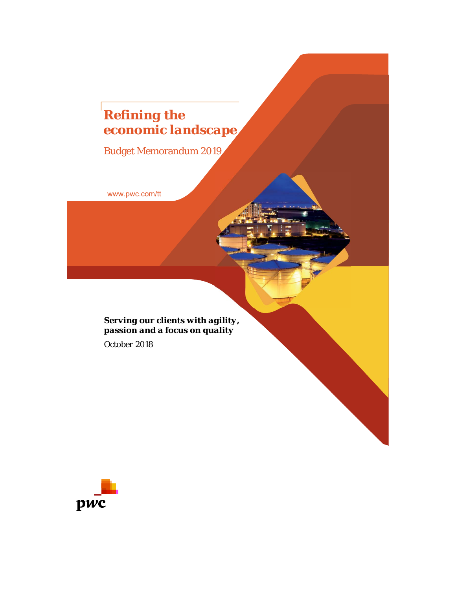# *Refining the economic landscape*

Budget Memorandum 2019

www.pwc.com/tt

*Serving our clients with agility, passion and a focus on quality*

*October 2018*

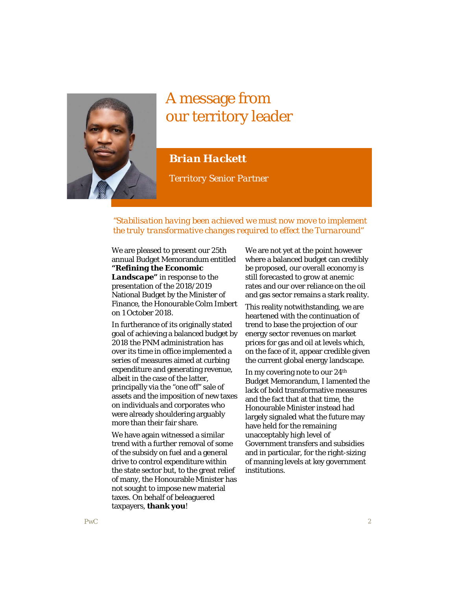

# A message from our territory leader

# *Brian Hackett*

*Territory Senior Partner*

# *"Stabilisation having been achieved we must now move to implement the truly transformative changes required to effect the Turnaround"*

We are pleased to present our 25th annual Budget Memorandum entitled *"Refining the Economic Landscape"* in response to the presentation of the 2018/2019 National Budget by the Minister of Finance, the Honourable Colm Imbert on 1 October 2018.

In furtherance of its originally stated goal of achieving a balanced budget by 2018 the PNM administration has over its time in office implemented a series of measures aimed at curbing expenditure and generating revenue, albeit in the case of the latter, principally via the "one off" sale of assets and the imposition of new taxes on individuals and corporates who were already shouldering arguably more than their fair share.

We have again witnessed a similar trend with a further removal of some of the subsidy on fuel and a general drive to control expenditure within the state sector but, to the great relief of many, the Honourable Minister has not sought to impose new material taxes. On behalf of beleaguered taxpayers, **thank you**!

We are not yet at the point however where a balanced budget can credibly be proposed, our overall economy is still forecasted to grow at anemic rates and our over reliance on the oil and gas sector remains a stark reality.

This reality notwithstanding, we are heartened with the continuation of trend to base the projection of our energy sector revenues on market prices for gas and oil at levels which, on the face of it, appear credible given the current global energy landscape.

In my covering note to our 24th Budget Memorandum, I lamented the lack of bold transformative measures and the fact that at that time, the Honourable Minister instead had largely signaled what the future may have held for the remaining unacceptably high level of Government transfers and subsidies and in particular, for the right-sizing of manning levels at key government institutions.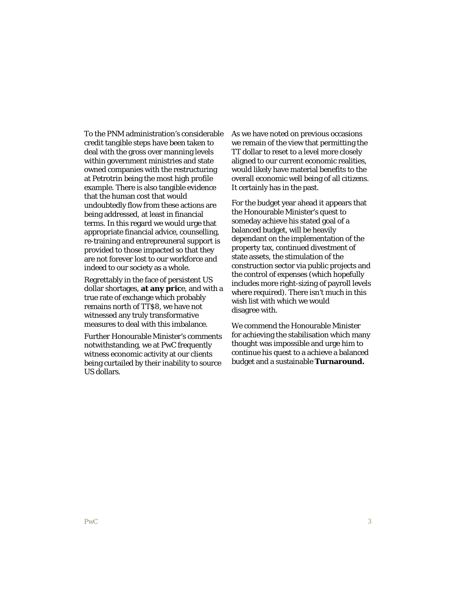To the PNM administration's considerable credit tangible steps have been taken to deal with the gross over manning levels within government ministries and state owned companies with the restructuring at Petrotrin being the most high profile example. There is also tangible evidence that the human cost that would undoubtedly flow from these actions are being addressed, at least in financial terms. In this regard we would urge that appropriate financial advice, counselling, re-training and entrepreuneral support is provided to those impacted so that they are not forever lost to our workforce and indeed to our society as a whole.

Regrettably in the face of persistent US dollar shortages, **at any pric**e, and with a true rate of exchange which probably remains north of TT\$8, we have not witnessed any truly transformative measures to deal with this imbalance.

Further Honourable Minister's comments notwithstanding, we at PwC frequently witness economic activity at our clients being curtailed by their inability to source US dollars.

As we have noted on previous occasions we remain of the view that permitting the TT dollar to reset to a level more closely aligned to our current economic realities, would likely have material benefits to the overall economic well being of all citizens. It certainly has in the past.

For the budget year ahead it appears that the Honourable Minister's quest to someday achieve his stated goal of a balanced budget, will be heavily dependant on the implementation of the property tax, continued divestment of state assets, the stimulation of the construction sector via public projects and the control of expenses (which hopefully includes more right-sizing of payroll levels where required). There isn't much in this wish list with which we would disagree with.

We commend the Honourable Minister for achieving the stabilisation which many thought was impossible and urge him to continue his quest to a achieve a balanced budget and a sustainable **Turnaround.**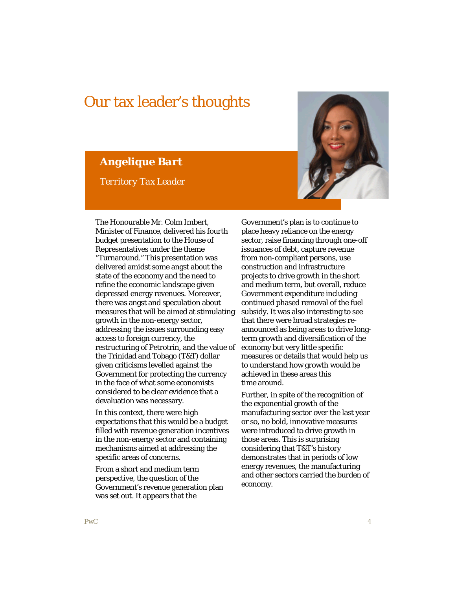# Our tax leader's thoughts

*Angelique Bart*

*Territory Tax Leader*



The Honourable Mr. Colm Imbert, Minister of Finance, delivered his fourth budget presentation to the House of Representatives under the theme "Turnaround." This presentation was delivered amidst some angst about the state of the economy and the need to refine the economic landscape given depressed energy revenues. Moreover, there was angst and speculation about measures that will be aimed at stimulating growth in the non-energy sector, addressing the issues surrounding easy access to foreign currency, the restructuring of Petrotrin, and the value of the Trinidad and Tobago (T&T) dollar given criticisms levelled against the Government for protecting the currency in the face of what some economists considered to be clear evidence that a devaluation was necessary.

In this context, there were high expectations that this would be a budget filled with revenue generation incentives in the non-energy sector and containing mechanisms aimed at addressing the specific areas of concerns.

From a short and medium term perspective, the question of the Government's revenue generation plan was set out. It appears that the

Government's plan is to continue to place heavy reliance on the energy sector, raise financing through one-off issuances of debt, capture revenue from non-compliant persons, use construction and infrastructure projects to drive growth in the short and medium term, but overall, reduce Government expenditure including continued phased removal of the fuel subsidy. It was also interesting to see that there were broad strategies reannounced as being areas to drive longterm growth and diversification of the economy but very little specific measures or details that would help us to understand how growth would be achieved in these areas this time around.

Further, in spite of the recognition of the exponential growth of the manufacturing sector over the last year or so, no bold, innovative measures were introduced to drive growth in those areas. This is surprising considering that T&T's history demonstrates that in periods of low energy revenues, the manufacturing and other sectors carried the burden of economy.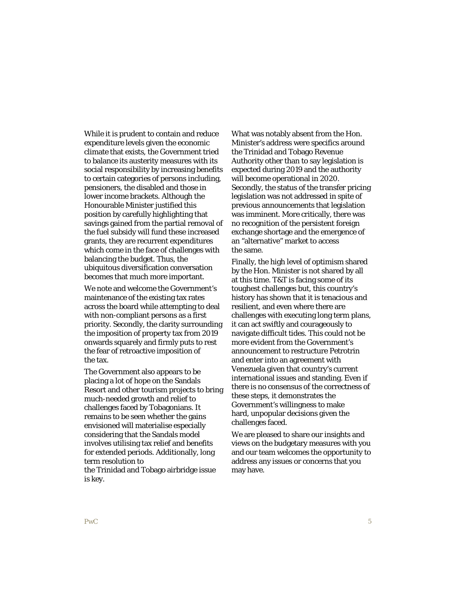While it is prudent to contain and reduce expenditure levels given the economic climate that exists, the Government tried to balance its austerity measures with its social responsibility by increasing benefits to certain categories of persons including, pensioners, the disabled and those in lower income brackets. Although the Honourable Minister justified this position by carefully highlighting that savings gained from the partial removal of the fuel subsidy will fund these increased grants, they are recurrent expenditures which come in the face of challenges with balancing the budget. Thus, the ubiquitous diversification conversation becomes that much more important.

We note and welcome the Government's maintenance of the existing tax rates across the board while attempting to deal with non-compliant persons as a first priority. Secondly, the clarity surrounding the imposition of property tax from 2019 onwards squarely and firmly puts to rest the fear of retroactive imposition of the tax.

The Government also appears to be placing a lot of hope on the Sandals Resort and other tourism projects to bring much-needed growth and relief to challenges faced by Tobagonians. It remains to be seen whether the gains envisioned will materialise especially considering that the Sandals model involves utilising tax relief and benefits for extended periods. Additionally, long term resolution to

the Trinidad and Tobago airbridge issue is key.

What was notably absent from the Hon. Minister's address were specifics around the Trinidad and Tobago Revenue Authority other than to say legislation is expected during 2019 and the authority will become operational in 2020. Secondly, the status of the transfer pricing legislation was not addressed in spite of previous announcements that legislation was imminent. More critically, there was no recognition of the persistent foreign exchange shortage and the emergence of an "alternative" market to access the same.

Finally, the high level of optimism shared by the Hon. Minister is not shared by all at this time. T&T is facing some of its toughest challenges but, this country's history has shown that it is tenacious and resilient, and even where there are challenges with executing long term plans, it can act swiftly and courageously to navigate difficult tides. This could not be more evident from the Government's announcement to restructure Petrotrin and enter into an agreement with Venezuela given that country's current international issues and standing. Even if there is no consensus of the correctness of these steps, it demonstrates the Government's willingness to make hard, unpopular decisions given the challenges faced.

We are pleased to share our insights and views on the budgetary measures with you and our team welcomes the opportunity to address any issues or concerns that you may have.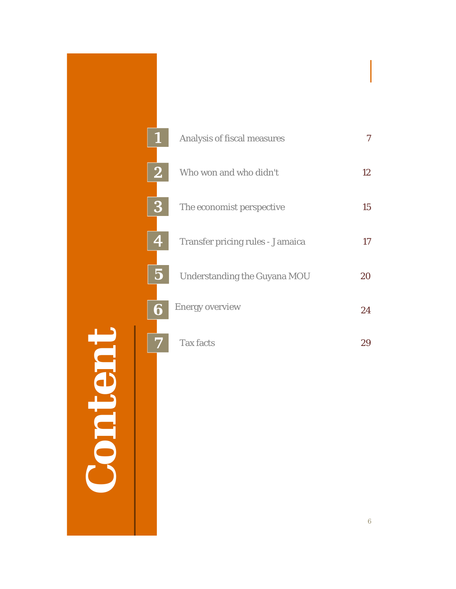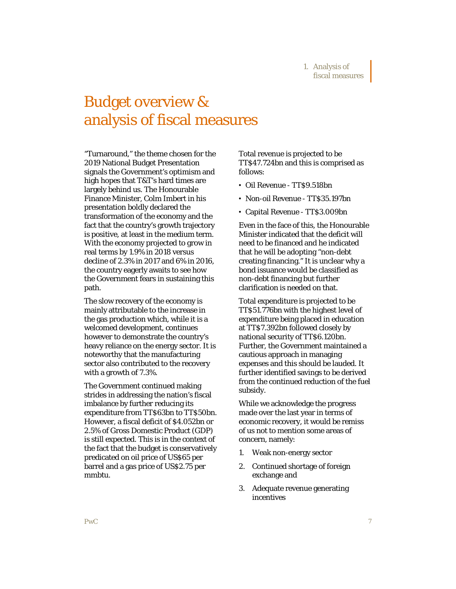# Budget overview & analysis of fiscal measures

"Turnaround," the theme chosen for the 2019 National Budget Presentation signals the Government's optimism and high hopes that T&T's hard times are largely behind us. The Honourable Finance Minister, Colm Imbert in his presentation boldly declared the transformation of the economy and the fact that the country's growth trajectory is positive, at least in the medium term. With the economy projected to grow in real terms by 1.9% in 2018 versus decline of 2.3% in 2017 and 6% in 2016, the country eagerly awaits to see how the Government fears in sustaining this path.

The slow recovery of the economy is mainly attributable to the increase in the gas production which, while it is a welcomed development, continues however to demonstrate the country's heavy reliance on the energy sector. It is noteworthy that the manufacturing sector also contributed to the recovery with a growth of 7.3%.

The Government continued making strides in addressing the nation's fiscal imbalance by further reducing its expenditure from TT\$63bn to TT\$50bn. However, a fiscal deficit of \$4.052bn or 2.5% of Gross Domestic Product (GDP) is still expected. This is in the context of the fact that the budget is conservatively predicated on oil price of US\$65 per barrel and a gas price of US\$2.75 per mmbtu.

Total revenue is projected to be TT\$47.724bn and this is comprised as follows:

- Oil Revenue TT\$9.518bn
- Non-oil Revenue TT\$35.197bn
- Capital Revenue TT\$3.009bn

Even in the face of this, the Honourable Minister indicated that the deficit will need to be financed and he indicated that he will be adopting "non-debt creating financing." It is unclear why a bond issuance would be classified as non-debt financing but further clarification is needed on that.

Total expenditure is projected to be TT\$51.776bn with the highest level of expenditure being placed in education at TT\$7.392bn followed closely by national security of TT\$6.120bn. Further, the Government maintained a cautious approach in managing expenses and this should be lauded. It further identified savings to be derived from the continued reduction of the fuel subsidy.

While we acknowledge the progress made over the last year in terms of economic recovery, it would be remiss of us not to mention some areas of concern, namely:

- 1. Weak non-energy sector
- 2. Continued shortage of foreign exchange and
- 3. Adequate revenue generating incentives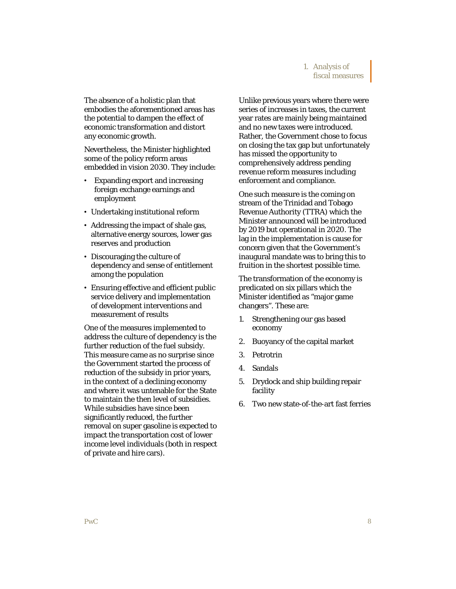# 1. Analysis of fiscal measures

The absence of a holistic plan that embodies the aforementioned areas has the potential to dampen the effect of economic transformation and distort any economic growth.

Nevertheless, the Minister highlighted some of the policy reform areas embedded in vision 2030. They include:

- Expanding export and increasing foreign exchange earnings and employment
- Undertaking institutional reform
- Addressing the impact of shale gas, alternative energy sources, lower gas reserves and production
- Discouraging the culture of dependency and sense of entitlement among the population
- Ensuring effective and efficient public service delivery and implementation of development interventions and measurement of results

One of the measures implemented to address the culture of dependency is the further reduction of the fuel subsidy. This measure came as no surprise since the Government started the process of reduction of the subsidy in prior years, in the context of a declining economy and where it was untenable for the State to maintain the then level of subsidies. While subsidies have since been significantly reduced, the further removal on super gasoline is expected to impact the transportation cost of lower income level individuals (both in respect of private and hire cars).

Unlike previous years where there were series of increases in taxes, the current year rates are mainly being maintained and no new taxes were introduced. Rather, the Government chose to focus on closing the tax gap but unfortunately has missed the opportunity to comprehensively address pending revenue reform measures including enforcement and compliance.

One such measure is the coming on stream of the Trinidad and Tobago Revenue Authority (TTRA) which the Minister announced will be introduced by 2019 but operational in 2020. The lag in the implementation is cause for concern given that the Government's inaugural mandate was to bring this to fruition in the shortest possible time.

The transformation of the economy is predicated on six pillars which the Minister identified as "major game changers". These are:

- 1. Strengthening our gas based economy
- 2. Buoyancy of the capital market
- 3. Petrotrin
- 4. Sandals
- 5. Drydock and ship building repair facility
- 6. Two new state-of-the-art fast ferries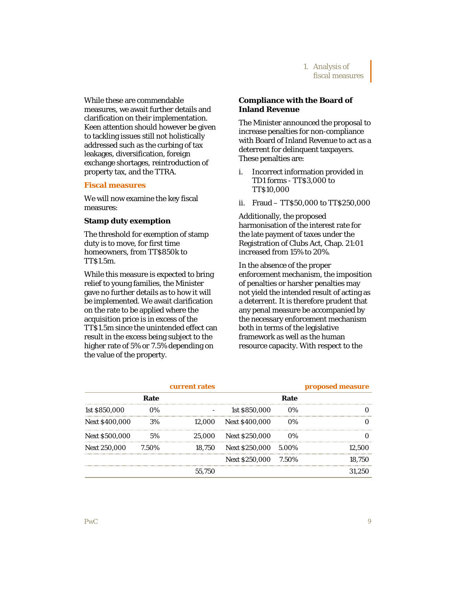While these are commendable measures, we await further details and clarification on their implementation. Keen attention should however be given to tackling issues still not holistically addressed such as the curbing of tax leakages, diversification, foreign exchange shortages, reintroduction of property tax, and the TTRA.

#### **Fiscal measures**

We will now examine the key fiscal measures:

#### **Stamp duty exemption**

The threshold for exemption of stamp duty is to move, for first time homeowners, from TT\$850k to TT\$1.5m.

While this measure is expected to bring relief to young families, the Minister gave no further details as to how it will be implemented. We await clarification on the rate to be applied where the acquisition price is in excess of the TT\$1.5m since the unintended effect can result in the excess being subject to the higher rate of 5% or 7.5% depending on the value of the property.

# **Compliance with the Board of Inland Revenue**

The Minister announced the proposal to increase penalties for non-compliance with Board of Inland Revenue to act as a deterrent for delinquent taxpayers. These penalties are:

- i. Incorrect information provided in TD1 forms - TT\$3,000 to TT\$10,000
- ii. Fraud TT\$50,000 to TT\$250,000

Additionally, the proposed harmonisation of the interest rate for the late payment of taxes under the Registration of Clubs Act, Chap. 21:01 increased from 15% to 20%.

In the absence of the proper enforcement mechanism, the imposition of penalties or harsher penalties may not yield the intended result of acting as a deterrent. It is therefore prudent that any penal measure be accompanied by the necessary enforcement mechanism both in terms of the legislative framework as well as the human resource capacity. With respect to the

|                       | current rates |        |                             | proposed measure |        |
|-----------------------|---------------|--------|-----------------------------|------------------|--------|
|                       | Rate          |        |                             | Rate             |        |
| 1st \$850,000         | $0\%$         |        | 1st \$850,000               | $0\%$            |        |
| <b>Next \$400,000</b> | 3%            |        | 12,000 Next \$400,000       | $0\%$            |        |
| <b>Next \$500,000</b> | .5%           |        | 25,000 Next \$250,000       | $0\%$            |        |
| <b>Next 250,000</b>   | 7.50%         |        | 18,750 Next \$250,000 5.00% |                  | 12.500 |
|                       |               |        | Next \$250,000 7.50%        |                  | 18.750 |
|                       |               | 55.750 |                             |                  |        |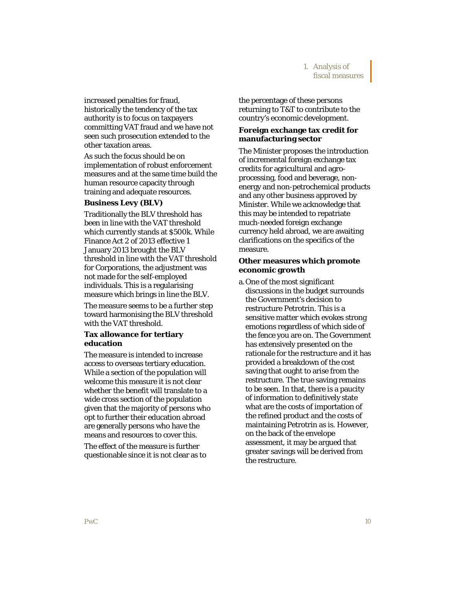increased penalties for fraud, historically the tendency of the tax authority is to focus on taxpayers committing VAT fraud and we have not seen such prosecution extended to the other taxation areas.

As such the focus should be on implementation of robust enforcement measures and at the same time build the human resource capacity through training and adequate resources.

### **Business Levy (BLV)**

Traditionally the BLV threshold has been in line with the VAT threshold which currently stands at \$500k. While Finance Act 2 of 2013 effective 1 January 2013 brought the BLV threshold in line with the VAT threshold for Corporations, the adjustment was not made for the self-employed individuals. This is a regularising measure which brings in line the BLV.

The measure seems to be a further step toward harmonising the BLV threshold with the VAT threshold.

# **Tax allowance for tertiary education**

The measure is intended to increase access to overseas tertiary education. While a section of the population will welcome this measure it is not clear whether the benefit will translate to a wide cross section of the population given that the majority of persons who opt to further their education abroad are generally persons who have the means and resources to cover this.

The effect of the measure is further questionable since it is not clear as to the percentage of these persons returning to T&T to contribute to the country's economic development.

# **Foreign exchange tax credit for manufacturing sector**

The Minister proposes the introduction of incremental foreign exchange tax credits for agricultural and agroprocessing, food and beverage, nonenergy and non-petrochemical products and any other business approved by Minister. While we acknowledge that this may be intended to repatriate much-needed foreign exchange currency held abroad, we are awaiting clarifications on the specifics of the measure.

# **Other measures which promote economic growth**

a. One of the most significant discussions in the budget surrounds the Government's decision to restructure Petrotrin. This is a sensitive matter which evokes strong emotions regardless of which side of the fence you are on. The Government has extensively presented on the rationale for the restructure and it has provided a breakdown of the cost saving that ought to arise from the restructure. The true saving remains to be seen. In that, there is a paucity of information to definitively state what are the costs of importation of the refined product and the costs of maintaining Petrotrin as is. However, on the back of the envelope assessment, it may be argued that greater savings will be derived from the restructure.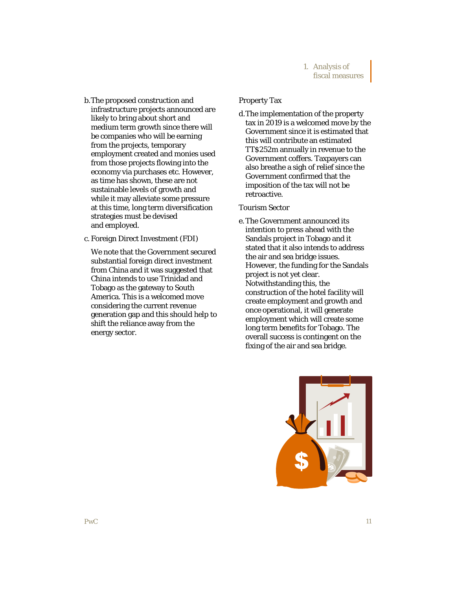- b.The proposed construction and infrastructure projects announced are likely to bring about short and medium term growth since there will be companies who will be earning from the projects, temporary employment created and monies used from those projects flowing into the economy via purchases etc. However, as time has shown, these are not sustainable levels of growth and while it may alleviate some pressure at this time, long term diversification strategies must be devised and employed.
- c. Foreign Direct Investment (FDI)

We note that the Government secured substantial foreign direct investment from China and it was suggested that China intends to use Trinidad and Tobago as the gateway to South America. This is a welcomed move considering the current revenue generation gap and this should help to shift the reliance away from the energy sector.

### Property Tax

d.The implementation of the property tax in 2019 is a welcomed move by the Government since it is estimated that this will contribute an estimated TT\$252m annually in revenue to the Government coffers. Taxpayers can also breathe a sigh of relief since the Government confirmed that the imposition of the tax will not be retroactive.

### Tourism Sector

e. The Government announced its intention to press ahead with the Sandals project in Tobago and it stated that it also intends to address the air and sea bridge issues. However, the funding for the Sandals project is not yet clear. Notwithstanding this, the construction of the hotel facility will create employment and growth and once operational, it will generate employment which will create some long term benefits for Tobago. The overall success is contingent on the fixing of the air and sea bridge.

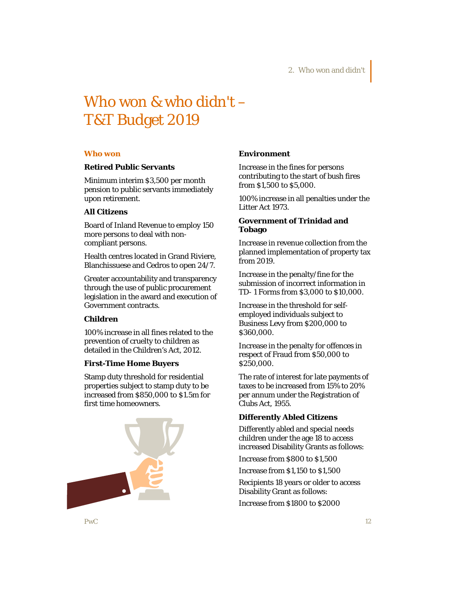# Who won & who didn't – T&T Budget 2019

#### **Who won**

### **Retired Public Servants**

Minimum interim \$3,500 per month pension to public servants immediately upon retirement.

## **All Citizens**

Board of Inland Revenue to employ 150 more persons to deal with noncompliant persons.

Health centres located in Grand Riviere, Blanchissuese and Cedros to open 24/7.

Greater accountability and transparency through the use of public procurement legislation in the award and execution of Government contracts.

# **Children**

100% increase in all fines related to the prevention of cruelty to children as detailed in the Children's Act, 2012.

### **First-Time Home Buyers**

Stamp duty threshold for residential properties subject to stamp duty to be increased from \$850,000 to \$1.5m for first time homeowners.



#### **Environment**

Increase in the fines for persons contributing to the start of bush fires from \$1,500 to \$5,000.

100% increase in all penalties under the Litter Act 1973.

## **Government of Trinidad and Tobago**

Increase in revenue collection from the planned implementation of property tax from 2019.

Increase in the penalty/fine for the submission of incorrect information in TD- 1 Forms from \$3,000 to \$10,000.

Increase in the threshold for selfemployed individuals subject to Business Levy from \$200,000 to \$360,000.

Increase in the penalty for offences in respect of Fraud from \$50,000 to \$250,000.

The rate of interest for late payments of taxes to be increased from 15% to 20% per annum under the Registration of Clubs Act, 1955.

# **Differently Abled Citizens**

Differently abled and special needs children under the age 18 to access increased Disability Grants as follows:

Increase from \$800 to \$1,500

Increase from \$1,150 to \$1,500

Recipients 18 years or older to access Disability Grant as follows:

Increase from \$1800 to \$2000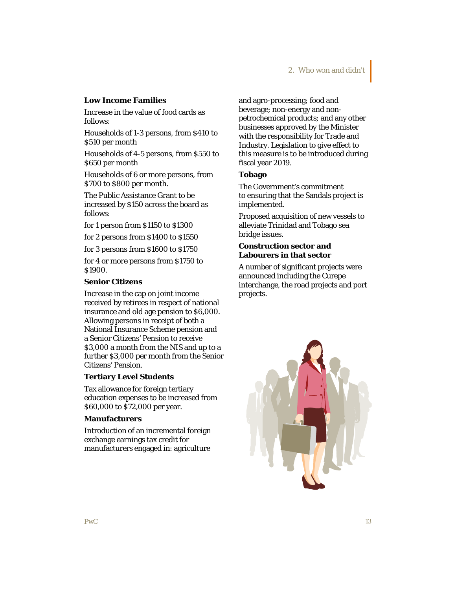### **Low Income Families**

Increase in the value of food cards as follows:

Households of 1-3 persons, from \$410 to \$510 per month

Households of 4-5 persons, from \$550 to \$650 per month

Households of 6 or more persons, from \$700 to \$800 per month.

The Public Assistance Grant to be increased by \$150 across the board as follows:

for 1 person from \$1150 to \$1300

for 2 persons from \$1400 to \$1550

for 3 persons from \$1600 to \$1750

for 4 or more persons from \$1750 to \$1900.

### **Senior Citizens**

Increase in the cap on joint income received by retirees in respect of national insurance and old age pension to \$6,000. Allowing persons in receipt of both a National Insurance Scheme pension and a Senior Citizens' Pension to receive \$3,000 a month from the NIS and up to a further \$3,000 per month from the Senior Citizens' Pension.

#### **Tertiary Level Students**

Tax allowance for foreign tertiary education expenses to be increased from \$60,000 to \$72,000 per year.

### **Manufacturers**

Introduction of an incremental foreign exchange earnings tax credit for manufacturers engaged in: agriculture

and agro-processing; food and beverage; non-energy and nonpetrochemical products; and any other businesses approved by the Minister with the responsibility for Trade and Industry. Legislation to give effect to this measure is to be introduced during fiscal year 2019.

#### **Tobago**

The Government's commitment to ensuring that the Sandals project is implemented.

Proposed acquisition of new vessels to alleviate Trinidad and Tobago sea bridge issues.

# **Construction sector and Labourers in that sector**

A number of significant projects were announced including the Curepe interchange, the road projects and port projects.

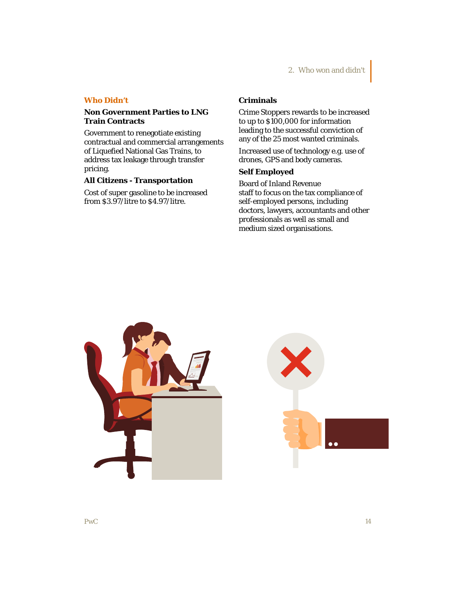### **Who Didn't**

## **Non Government Parties to LNG Train Contracts**

Government to renegotiate existing contractual and commercial arrangements of Liquefied National Gas Trains, to address tax leakage through transfer pricing.

# **All Citizens - Transportation**

Cost of super gasoline to be increased from \$3.97/litre to \$4.97/litre.

# **Criminals**

Crime Stoppers rewards to be increased to up to \$100,000 for information leading to the successful conviction of any of the 25 most wanted criminals.

Increased use of technology e.g. use of drones, GPS and body cameras.

# **Self Employed**

Board of Inland Revenue staff to focus on the tax compliance of self-employed persons, including doctors, lawyers, accountants and other professionals as well as small and medium sized organisations.



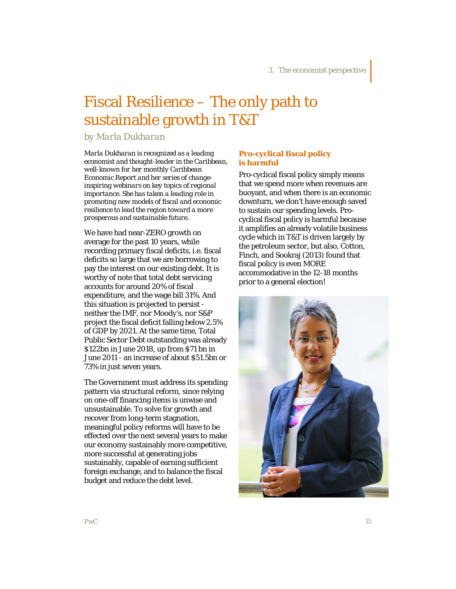# Fiscal Resilience – The only path to sustainable growth in T&T

*by Marla Dukharan*

*Marla Dukharan is recognized as a leading economist and thought-leader in the Caribbean, well-known for her monthly Caribbean Economic Report and her series of changeinspiring webinars on key topics of regional importance. She has taken a leading role in promoting new models of fiscal and economic resilience to lead the region toward a more prosperous and sustainable future.*

We have had near-ZERO growth on average for the past 10 years, while recording primary fiscal deficits, i.e. fiscal deficits so large that we are borrowing to pay the interest on our existing debt. It is worthy of note that total debt servicing accounts for around 20% of fiscal expenditure, and the wage bill 31%. And this situation is projected to persist neither the IMF, nor Moody's, nor S&P project the fiscal deficit falling below 2.5% of GDP by 2021. At the same time, Total Public Sector Debt outstanding was already \$122bn in June 2018, up from \$71 bn in June 2011 - an increase of about \$51.5bn or 73% in just seven years.

The Government must address its spending pattern via structural reform, since relying on one-off financing items is unwise and unsustainable. To solve for growth and recover from long-term stagnation, meaningful policy reforms will have to be effected over the next several years to make our economy sustainably more competitive, more successful at generating jobs sustainably, capable of earning sufficient foreign exchange, and to balance the fiscal budget and reduce the debt level.

# **Pro-cyclical fiscal policy is harmful**

Pro-cyclical fiscal policy simply means that we spend more when revenues are buoyant, and when there is an economic downturn, we don't have enough saved to sustain our spending levels. Procyclical fiscal policy is harmful because it amplifies an already volatile business cycle which in T&T is driven largely by the petroleum sector, but also, Cotton, Finch, and Sookraj (2013) found that fiscal policy is even MORE accommodative in the 12-18 months prior to a general election!

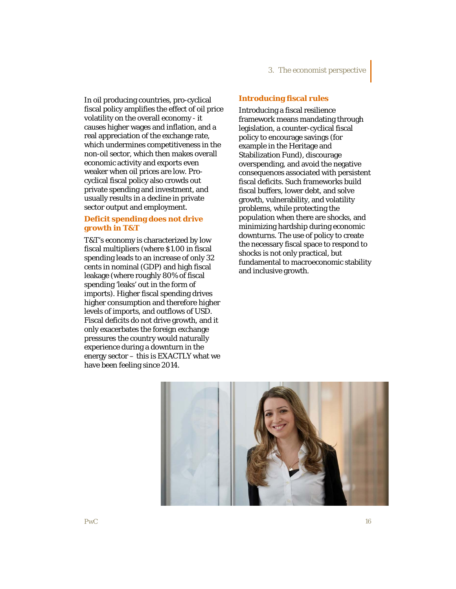In oil producing countries, pro-cyclical fiscal policy amplifies the effect of oil price volatility on the overall economy - it causes higher wages and inflation, and a real appreciation of the exchange rate, which undermines competitiveness in the non-oil sector, which then makes overall economic activity and exports even weaker when oil prices are low. Procyclical fiscal policy also crowds out private spending and investment, and usually results in a decline in private sector output and employment.

# **Deficit spending does not drive growth in T&T**

T&T's economy is characterized by low fiscal multipliers (where \$1.00 in fiscal spending leads to an increase of only 32 cents in nominal (GDP) and high fiscal leakage (where roughly 80% of fiscal spending 'leaks' out in the form of imports). Higher fiscal spending drives higher consumption and therefore higher levels of imports, and outflows of USD. Fiscal deficits do not drive growth, and it only exacerbates the foreign exchange pressures the country would naturally experience during a downturn in the energy sector – this is EXACTLY what we have been feeling since 2014.

# 3. The economist perspective

# **Introducing fiscal rules**

Introducing a fiscal resilience framework means mandating through legislation, a counter-cyclical fiscal policy to encourage savings (for example in the Heritage and Stabilization Fund), discourage overspending, and avoid the negative consequences associated with persistent fiscal deficits. Such frameworks build fiscal buffers, lower debt, and solve growth, vulnerability, and volatility problems, while protecting the population when there are shocks, and minimizing hardship during economic downturns. The use of policy to create the necessary fiscal space to respond to shocks is not only practical, but fundamental to macroeconomic stability and inclusive growth.

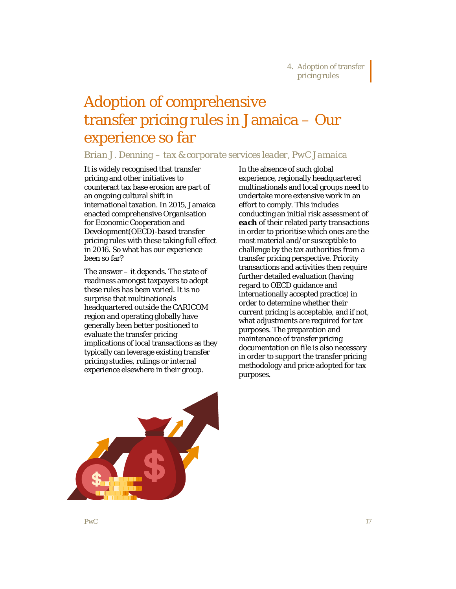# Adoption of comprehensive transfer pricing rules in Jamaica – Our experience so far

# *Brian J. Denning – tax & corporate services leader, PwC Jamaica*

It is widely recognised that transfer pricing and other initiatives to counteract tax base erosion are part of an ongoing cultural shift in international taxation. In 2015, Jamaica enacted comprehensive Organisation for Economic Cooperation and Development(OECD)-based transfer pricing rules with these taking full effect in 2016. So what has our experience been so far?

The answer – it depends. The state of readiness amongst taxpayers to adopt these rules has been varied. It is no surprise that multinationals headquartered outside the CARICOM region and operating globally have generally been better positioned to evaluate the transfer pricing implications of local transactions as they typically can leverage existing transfer pricing studies, rulings or internal experience elsewhere in their group.

In the absence of such global experience, regionally headquartered multinationals and local groups need to undertake more extensive work in an effort to comply. This includes conducting an initial risk assessment of *each* of their related party transactions in order to prioritise which ones are the most material and/or susceptible to challenge by the tax authorities from a transfer pricing perspective. Priority transactions and activities then require further detailed evaluation (having regard to OECD guidance and internationally accepted practice) in order to determine whether their current pricing is acceptable, and if not, what adjustments are required for tax purposes. The preparation and maintenance of transfer pricing documentation on file is also necessary in order to support the transfer pricing methodology and price adopted for tax purposes.

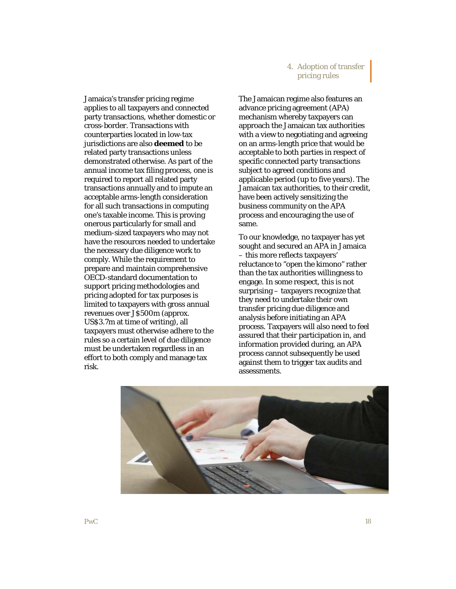# 4. Adoption of transfer pricing rules

Jamaica's transfer pricing regime applies to all taxpayers and connected party transactions, whether domestic or cross-border. Transactions with counterparties located in low-tax jurisdictions are also *deemed* to be related party transactions unless demonstrated otherwise. As part of the annual income tax filing process, one is required to report all related party transactions annually and to impute an acceptable arms-length consideration for all such transactions in computing one's taxable income. This is proving onerous particularly for small and medium-sized taxpayers who may not have the resources needed to undertake the necessary due diligence work to comply. While the requirement to prepare and maintain comprehensive OECD-standard documentation to support pricing methodologies and pricing adopted for tax purposes is limited to taxpayers with gross annual revenues over J\$500m (approx. US\$3.7m at time of writing), all taxpayers must otherwise adhere to the rules so a certain level of due diligence must be undertaken regardless in an effort to both comply and manage tax risk.

The Jamaican regime also features an advance pricing agreement (APA) mechanism whereby taxpayers can approach the Jamaican tax authorities with a view to negotiating and agreeing on an arms-length price that would be acceptable to both parties in respect of specific connected party transactions subject to agreed conditions and applicable period (up to five years). The Jamaican tax authorities, to their credit, have been actively sensitizing the business community on the APA process and encouraging the use of same.

To our knowledge, no taxpayer has yet sought and secured an APA in Jamaica – this more reflects taxpayers' reluctance to "*open the kimono*" rather than the tax authorities willingness to engage. In some respect, this is not surprising – taxpayers recognize that they need to undertake their own transfer pricing due diligence and analysis before initiating an APA process. Taxpayers will also need to feel assured that their participation in, and information provided during, an APA process cannot subsequently be used against them to trigger tax audits and assessments.

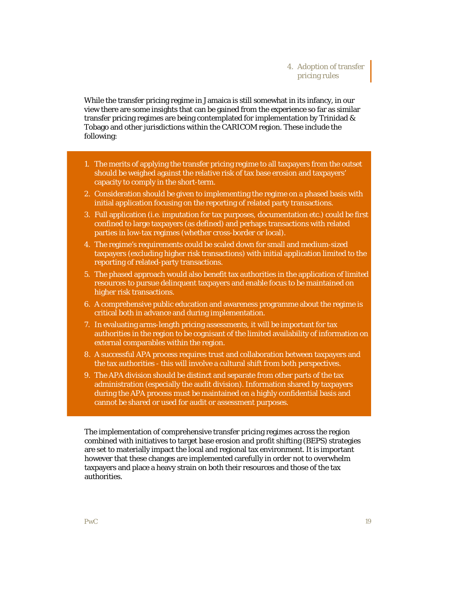# 4. Adoption of transfer pricing rules

While the transfer pricing regime in Jamaica is still somewhat in its infancy, in our view there are some insights that can be gained from the experience so far as similar transfer pricing regimes are being contemplated for implementation by Trinidad & Tobago and other jurisdictions within the CARICOM region. These include the following:

- 1. The merits of applying the transfer pricing regime to all taxpayers from the outset should be weighed against the relative risk of tax base erosion and taxpayers' capacity to comply in the short-term.
- 2. Consideration should be given to implementing the regime on a phased basis with initial application focusing on the reporting of related party transactions.
- 3. Full application (i.e. imputation for tax purposes, documentation etc.) could be first confined to large taxpayers (as defined) and perhaps transactions with related parties in low-tax regimes (whether cross-border or local).
- 4. The regime's requirements could be scaled down for small and medium-sized taxpayers (excluding higher risk transactions) with initial application limited to the reporting of related-party transactions.
- 5. The phased approach would also benefit tax authorities in the application of limited resources to pursue delinquent taxpayers and enable focus to be maintained on higher risk transactions.
- 6. A comprehensive public education and awareness programme about the regime is critical both in advance and during implementation.
- 7. In evaluating arms-length pricing assessments, it will be important for tax authorities in the region to be cognisant of the limited availability of information on external comparables within the region.
- 8. A successful APA process requires trust and collaboration between taxpayers and the tax authorities - this will involve a cultural shift from both perspectives.
- 9. The APA division should be distinct and separate from other parts of the tax administration (especially the audit division). Information shared by taxpayers during the APA process must be maintained on a highly confidential basis and cannot be shared or used for audit or assessment purposes.

The implementation of comprehensive transfer pricing regimes across the region combined with initiatives to target base erosion and profit shifting (BEPS) strategies are set to materially impact the local and regional tax environment. It is important however that these changes are implemented carefully in order not to overwhelm taxpayers and place a heavy strain on both their resources and those of the tax authorities.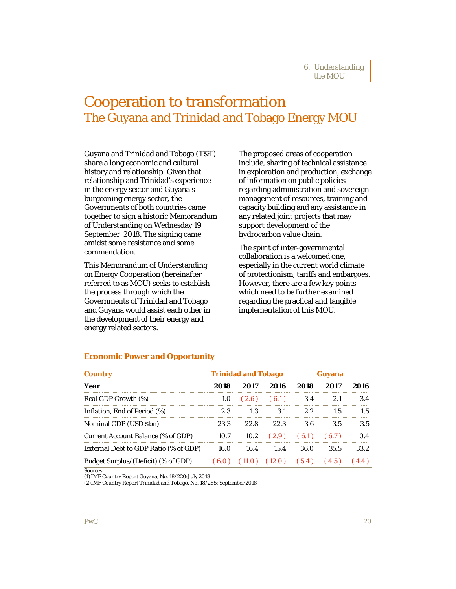# Cooperation to transformation The Guyana and Trinidad and Tobago Energy MOU

Guyana and Trinidad and Tobago (T&T) share a long economic and cultural history and relationship. Given that relationship and Trinidad's experience in the energy sector and Guyana's burgeoning energy sector, the Governments of both countries came together to sign a historic Memorandum of Understanding on Wednesday 19 September 2018. The signing came amidst some resistance and some commendation.

This Memorandum of Understanding on Energy Cooperation (hereinafter referred to as MOU) seeks to establish the process through which the Governments of Trinidad and Tobago and Guyana would assist each other in the development of their energy and energy related sectors.

The proposed areas of cooperation include, sharing of technical assistance in exploration and production, exchange of information on public policies regarding administration and sovereign management of resources, training and capacity building and any assistance in any related joint projects that may support development of the hydrocarbon value chain.

The spirit of inter-governmental collaboration is a welcomed one, especially in the current world climate of protectionism, tariffs and embargoes. However, there are a few key points which need to be further examined regarding the practical and tangible implementation of this MOU.

### **Economic Power and Opportunity**

| <b>Country</b>                        | <b>Trinidad and Tobago</b> |                       |                                | uvana            |      |      |
|---------------------------------------|----------------------------|-----------------------|--------------------------------|------------------|------|------|
| Year                                  | 2018                       | 2017                  | 2016                           | 2018             | 2017 | 2016 |
| Real GDP Growth (%)                   |                            | $1.0$ $(2.6)$ $(6.1)$ |                                | 3.4              |      | 3.4  |
| Inflation, End of Period (%)          | 23                         |                       | 3 1                            | 22               | 15   | 15   |
| Nominal GDP (USD \$bn)                | 23.3                       | 22. R                 | 22.3                           | 3.6              | 3.5  | 3.5  |
| Current Account Balance (% of GDP)    | 10.7                       |                       | $10.2$ $(2.9)$ $(6.1)$ $(6.7)$ |                  |      |      |
| External Debt to GDP Ratio (% of GDP) | 16.0                       | 164                   | 15.4                           | 36.0             | 35.5 | 33 2 |
| Budget Surplus/(Deficit) (% of GDP)   |                            |                       |                                | $(12.0)$ $(5.4)$ |      |      |

Sources:

(1)IMF Country Report Guyana, No. 18/220:July 2018

(2)IMF Country Report Trinidad and Tobago, No. 18/285: September 2018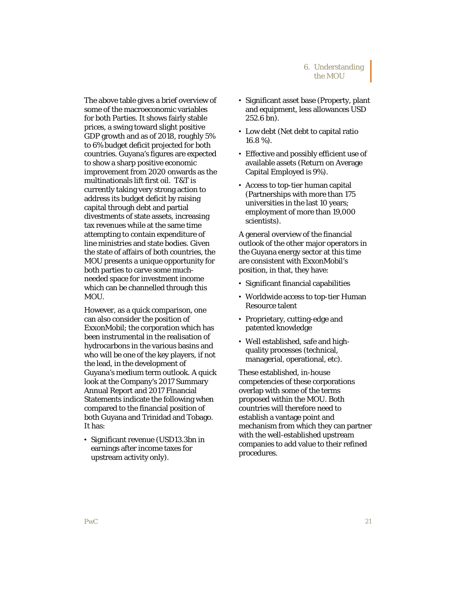The above table gives a brief overview of some of the macroeconomic variables for both Parties. It shows fairly stable prices, a swing toward slight positive GDP growth and as of 2018, roughly 5% to 6% budget deficit projected for both countries. Guyana's figures are expected to show a sharp positive economic improvement from 2020 onwards as the multinationals lift first oil. T&T is currently taking very strong action to address its budget deficit by raising capital through debt and partial divestments of state assets, increasing tax revenues while at the same time attempting to contain expenditure of line ministries and state bodies. Given the state of affairs of both countries, the MOU presents a unique opportunity for both parties to carve some muchneeded space for investment income which can be channelled through this MOU.

However, as a quick comparison, one can also consider the position of ExxonMobil; the corporation which has been instrumental in the realisation of hydrocarbons in the various basins and who will be one of the key players, if not the lead, in the development of Guyana's medium term outlook. A quick look at the Company's 2017 Summary Annual Report and 2017 Financial Statements indicate the following when compared to the financial position of both Guyana and Trinidad and Tobago. It has:

• Significant revenue (USD13.3bn in earnings after income taxes for upstream activity only).

- Significant asset base (Property, plant and equipment, less allowances USD 252.6 bn).
- Low debt (Net debt to capital ratio 16.8 %).
- Effective and possibly efficient use of available assets (Return on Average Capital Employed is 9%).
- Access to top-tier human capital (Partnerships with more than 175 universities in the last 10 years; employment of more than 19,000 scientists).

A general overview of the financial outlook of the other major operators in the Guyana energy sector at this time are consistent with ExxonMobil's position, in that, they have:

- Significant financial capabilities
- Worldwide access to top-tier Human Resource talent
- Proprietary, cutting-edge and patented knowledge
- Well established, safe and highquality processes (technical, managerial, operational, etc).

These established, in-house competencies of these corporations overlap with some of the terms proposed within the MOU. Both countries will therefore need to establish a vantage point and mechanism from which they can partner with the well-established upstream companies to add value to their refined procedures.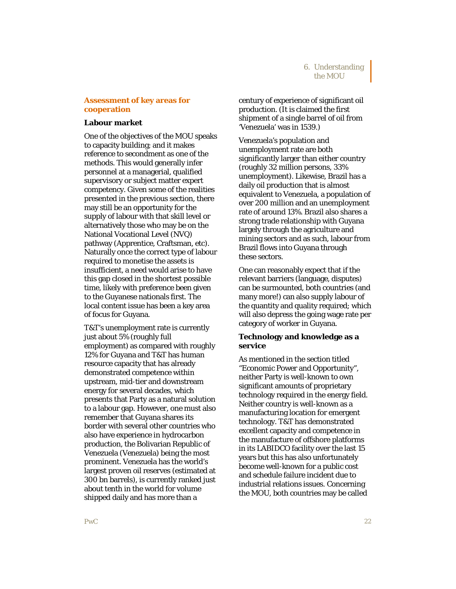## **Assessment of key areas for cooperation**

#### **Labour market**

One of the objectives of the MOU speaks to capacity building; and it makes reference to secondment as one of the methods. This would generally infer personnel at a managerial, qualified supervisory or subject matter expert competency. Given some of the realities presented in the previous section, there may still be an opportunity for the supply of labour with that skill level or alternatively those who may be on the National Vocational Level (NVQ) pathway (Apprentice, Craftsman, etc). Naturally once the correct type of labour required to monetise the assets is insufficient, a need would arise to have this gap closed in the shortest possible time, likely with preference been given to the Guyanese nationals first. The local content issue has been a key area of focus for Guyana.

T&T's unemployment rate is currently just about 5% (roughly full employment) as compared with roughly 12% for Guyana and T&T has human resource capacity that has already demonstrated competence within upstream, mid-tier and downstream energy for several decades, which presents that Party as a natural solution to a labour gap. However, one must also remember that Guyana shares its border with several other countries who also have experience in hydrocarbon production, the Bolivarian Republic of Venezuela (Venezuela) being the most prominent. Venezuela has the world's largest proven oil reserves (estimated at 300 bn barrels), is currently ranked just about tenth in the world for volume shipped daily and has more than a

century of experience of significant oil production. (It is claimed the first shipment of a single barrel of oil from 'Venezuela' was in 1539.)

Venezuela's population and unemployment rate are both significantly larger than either country (roughly 32 million persons, 33% unemployment). Likewise, Brazil has a daily oil production that is almost equivalent to Venezuela, a population of over 200 million and an unemployment rate of around 13%. Brazil also shares a strong trade relationship with Guyana largely through the agriculture and mining sectors and as such, labour from Brazil flows into Guyana through these sectors.

One can reasonably expect that if the relevant barriers (language, disputes) can be surmounted, both countries (and many more!) can also supply labour of the quantity and quality required; which will also depress the going wage rate per category of worker in Guyana.

## **Technology and knowledge as a service**

As mentioned in the section titled "Economic Power and Opportunity", neither Party is well-known to own significant amounts of proprietary technology required in the energy field. Neither country is well-known as a manufacturing location for emergent technology. T&T has demonstrated excellent capacity and competence in the manufacture of offshore platforms in its LABIDCO facility over the last 15 years but this has also unfortunately become well-known for a public cost and schedule failure incident due to industrial relations issues. Concerning the MOU, both countries may be called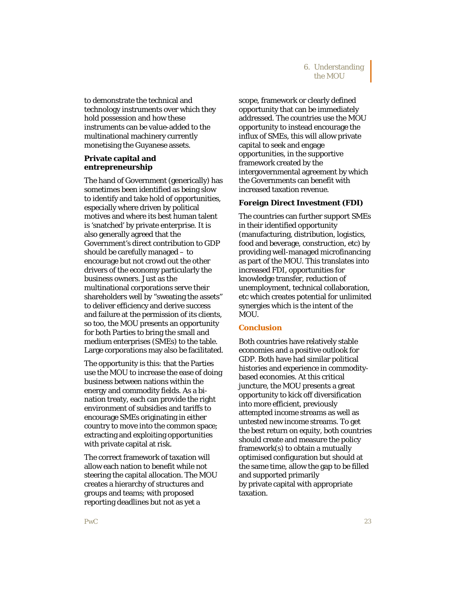to demonstrate the technical and technology instruments over which they hold possession and how these instruments can be value-added to the multinational machinery currently monetising the Guyanese assets.

# **Private capital and entrepreneurship**

The hand of Government (generically) has sometimes been identified as being slow to identify and take hold of opportunities, especially where driven by political motives and where its best human talent is 'snatched' by private enterprise. It is also generally agreed that the Government's direct contribution to GDP should be carefully managed – to encourage but not crowd out the other drivers of the economy particularly the business owners. Just as the multinational corporations serve their shareholders well by "sweating the assets" to deliver efficiency and derive success and failure at the permission of its clients, so too, the MOU presents an opportunity for both Parties to bring the small and medium enterprises (SMEs) to the table. Large corporations may also be facilitated.

The opportunity is this: that the Parties use the MOU to increase the ease of doing business between nations within the energy and commodity fields. As a bination treaty, each can provide the right environment of subsidies and tariffs to encourage SMEs originating in either country to move into the common space; extracting and exploiting opportunities with private capital at risk.

The correct framework of taxation will allow each nation to benefit while not steering the capital allocation. The MOU creates a hierarchy of structures and groups and teams; with proposed reporting deadlines but not as yet a

scope, framework or clearly defined opportunity that can be immediately addressed. The countries use the MOU opportunity to instead encourage the influx of SMEs, this will allow private capital to seek and engage opportunities, in the supportive framework created by the intergovernmental agreement by which the Governments can benefit with increased taxation revenue.

# **Foreign Direct Investment (FDI)**

The countries can further support SMEs in their identified opportunity (manufacturing, distribution, logistics, food and beverage, construction, etc) by providing well-managed microfinancing as part of the MOU. This translates into increased FDI, opportunities for knowledge transfer, reduction of unemployment, technical collaboration, etc which creates potential for unlimited synergies which is the intent of the MOU.

# **Conclusion**

Both countries have relatively stable economies and a positive outlook for GDP. Both have had similar political histories and experience in commoditybased economies. At this critical juncture, the MOU presents a great opportunity to kick off diversification into more efficient, previously attempted income streams as well as untested new income streams. To get the best return on equity, both countries should create and measure the policy framework(s) to obtain a mutually optimised configuration but should at the same time, allow the gap to be filled and supported primarily by private capital with appropriate taxation.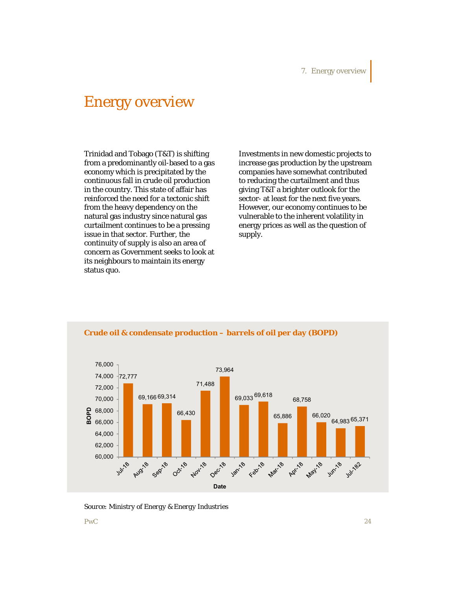# Energy overview

Trinidad and Tobago (T&T) is shifting from a predominantly oil-based to a gas economy which is precipitated by the continuous fall in crude oil production in the country. This state of affair has reinforced the need for a tectonic shift from the heavy dependency on the natural gas industry since natural gas curtailment continues to be a pressing issue in that sector. Further, the continuity of supply is also an area of concern as Government seeks to look at its neighbours to maintain its energy status quo.

Investments in new domestic projects to increase gas production by the upstream companies have somewhat contributed to reducing the curtailment and thus giving T&T a brighter outlook for the sector- at least for the next five years. However, our economy continues to be vulnerable to the inherent volatility in energy prices as well as the question of supply.



## **Crude oil & condensate production – barrels of oil per day (BOPD)**

*Source: Ministry of Energy & Energy Industries*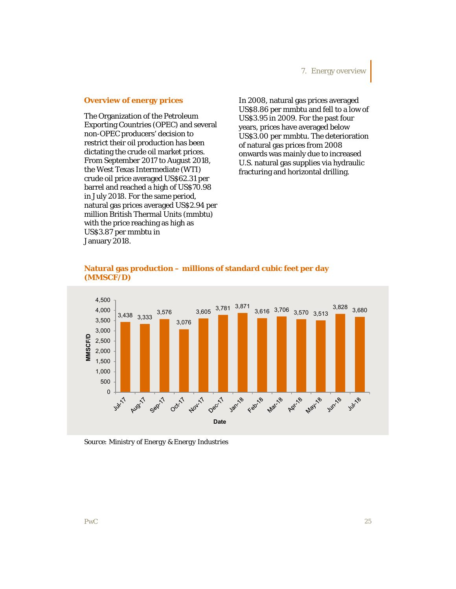#### **Overview of energy prices**

The Organization of the Petroleum Exporting Countries (OPEC) and several non-OPEC producers' decision to restrict their oil production has been dictating the crude oil market prices. From September 2017 to August 2018, the West Texas Intermediate (WTI) crude oil price averaged US\$62.31 per barrel and reached a high of US\$70.98 in July 2018. For the same period, natural gas prices averaged US\$2.94 per million British Thermal Units (mmbtu) with the price reaching as high as US\$3.87 per mmbtu in January 2018.

In 2008, natural gas prices averaged US\$8.86 per mmbtu and fell to a low of US\$3.95 in 2009. For the past four years, prices have averaged below US\$3.00 per mmbtu. The deterioration of natural gas prices from 2008 onwards was mainly due to increased U.S. natural gas supplies via hydraulic fracturing and horizontal drilling.





*Source: Ministry of Energy & Energy Industries*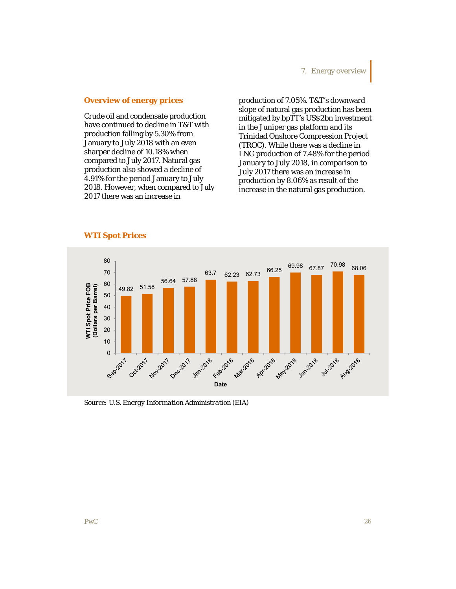### **Overview of energy prices**

Crude oil and condensate production have continued to decline in T&T with production falling by 5.30% from January to July 2018 with an even sharper decline of 10.18% when compared to July 2017. Natural gas production also showed a decline of 4.91% for the period January to July 2018. However, when compared to July 2017 there was an increase in

production of 7.05%. T&T's downward slope of natural gas production has been mitigated by bpTT's US\$2bn investment in the Juniper gas platform and its Trinidad Onshore Compression Project (TROC). While there was a decline in LNG production of 7.48% for the period January to July 2018, in comparison to July 2017 there was an increase in production by 8.06% as result of the increase in the natural gas production.



### **WTI Spot Prices**

*Source: U.S. Energy Information Administration (EIA)*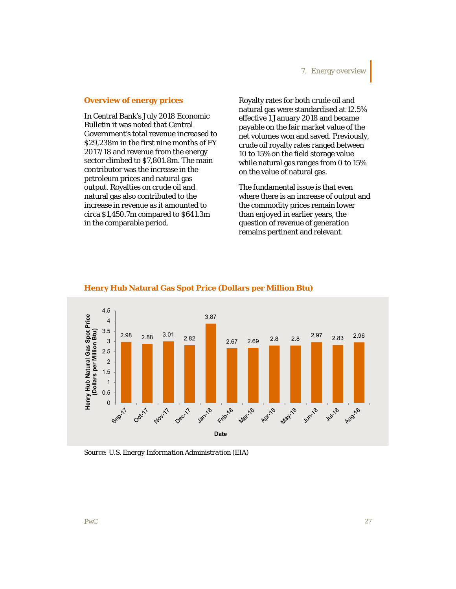#### **Overview of energy prices**

In Central Bank's July 2018 Economic Bulletin it was noted that Central Government's total revenue increased to \$29,238m in the first nine months of FY 2017/18 and revenue from the energy sector climbed to \$7,801.8m. The main contributor was the increase in the petroleum prices and natural gas output. Royalties on crude oil and natural gas also contributed to the increase in revenue as it amounted to circa \$1,450.7m compared to \$641.3m in the comparable period.

Royalty rates for both crude oil and natural gas were standardised at 12.5% effective 1 January 2018 and became payable on the fair market value of the net volumes won and saved. Previously, crude oil royalty rates ranged between 10 to 15% on the field storage value while natural gas ranges from 0 to 15% on the value of natural gas.

The fundamental issue is that even where there is an increase of output and the commodity prices remain lower than enjoyed in earlier years, the question of revenue of generation remains pertinent and relevant.



#### **Henry Hub Natural Gas Spot Price (Dollars per Million Btu)**

*Source: U.S. Energy Information Administration (EIA)*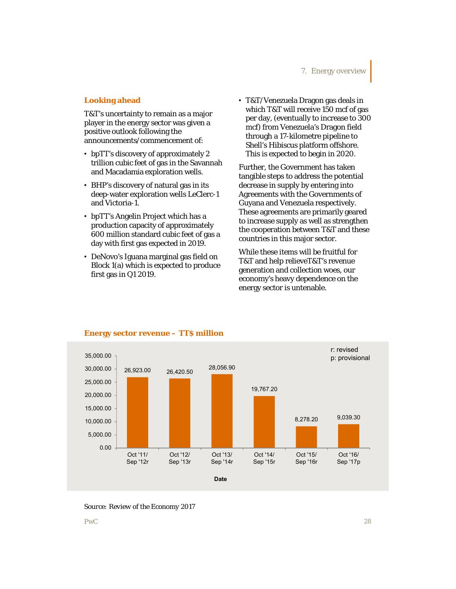### **Looking ahead**

T&T's uncertainty to remain as a major player in the energy sector was given a positive outlook following the announcements/commencement of:

- bpTT's discovery of approximately 2 trillion cubic feet of gas in the Savannah and Macadamia exploration wells.
- BHP's discovery of natural gas in its deep-water exploration wells LeClerc-1 and Victoria-1.
- bpTT's Angelin Project which has a production capacity of approximately 600 million standard cubic feet of gas a day with first gas expected in 2019.
- DeNovo's Iguana marginal gas field on Block 1(a) which is expected to produce first gas in Q1 2019.

• T&T/Venezuela Dragon gas deals in which T&T will receive 150 mcf of gas per day, (eventually to increase to 300 mcf) from Venezuela's Dragon field through a 17-kilometre pipeline to Shell's Hibiscus platform offshore. This is expected to begin in 2020.

Further, the Government has taken tangible steps to address the potential decrease in supply by entering into Agreements with the Governments of Guyana and Venezuela respectively. These agreements are primarily geared to increase supply as well as strengthen the cooperation between T&T and these countries in this major sector.

While these items will be fruitful for T&T and help relieveT&T's revenue generation and collection woes, our economy's heavy dependence on the energy sector is untenable.



## **Energy sector revenue – TT\$ million**

*Source: Review of the Economy 2017*

PwC *28*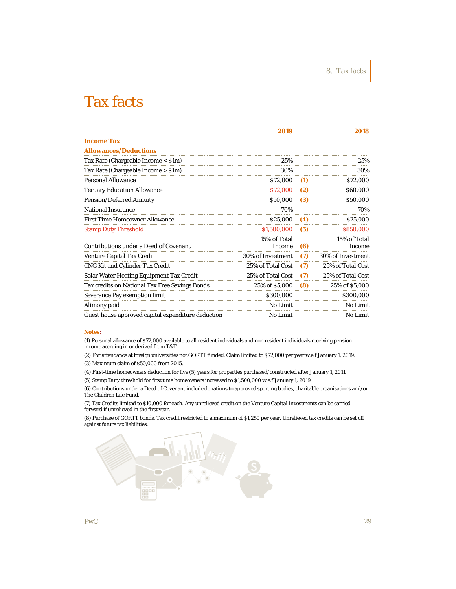|                                                    | 2019                   |     | 2018                   |
|----------------------------------------------------|------------------------|-----|------------------------|
| <b>Income Tax</b>                                  |                        |     |                        |
| <b>Allowances/Deductions</b>                       |                        |     |                        |
| Tax Rate (Chargeable Income < \$1m)                | 25%                    |     | 25%                    |
| Tax Rate (Chargeable Income > \$1m)                | 30%                    |     | 30%                    |
| <b>Personal Allowance</b>                          | \$72,000               | (1) | \$72,000               |
| <b>Tertiary Education Allowance</b>                | \$72,000               | (2) | \$60,000               |
| <b>Pension/Deferred Annuity</b>                    | \$50,000               | (3) | \$50,000               |
| <b>National Insurance</b>                          | 70%                    |     | 70%                    |
| <b>First Time Homeowner Allowance</b>              | \$25,000               | (4) | \$25,000               |
| <b>Stamp Duty Threshold</b>                        | \$1,500,000            | (5) | \$850,000              |
| <b>Contributions under a Deed of Covenant</b>      | 15% of Total<br>Income | (6) | 15% of Total<br>Income |
| <b>Venture Capital Tax Credit</b>                  | 30% of Investment      | (7) | 30% of Investment      |
| CNG Kit and Cylinder Tax Credit                    | 25% of Total Cost      | (7) | 25% of Total Cost      |
| Solar Water Heating Equipment Tax Credit           | 25% of Total Cost      | (7) | 25% of Total Cost      |
| Tax credits on National Tax Free Savings Bonds     | 25% of \$5,000         | (8) | 25% of \$5,000         |
| Severance Pay exemption limit                      | \$300,000              |     | \$300,000              |
| Alimony paid                                       | <b>No Limit</b>        |     | No Limit               |
| Guest house approved capital expenditure deduction | <b>No Limit</b>        |     | No Limit               |

#### **Notes:**

(1) Personal allowance of \$72,000 available to all resident individuals and non resident individuals receiving pension income accruing in or derived from T&T.

(2) For attendance at foreign universities not GORTT funded. Claim limited to \$72,000 per year w.e.f January 1, 2019.

(3) Maximum claim of \$50,000 from 2015.

(4) First-time homeowners deduction for five (5) years for properties purchased/constructed after January 1, 2011.

(5) Stamp Duty threshold for first time homeowners increased to \$1,500,000 w.e.f January 1, 2019

(6) Contributions under a Deed of Covenant include donations to approved sporting bodies, charitable organisations and/or The Children Life Fund.

(7) Tax Credits limited to \$10,000 for each. Any unrelieved credit on the Venture Capital Investments can be carried forward if unrelieved in the first year.

(8) Purchase of GORTT bonds. Tax credit restricted to a maximum of \$1,250 per year. Unrelieved tax credits can be set off against future tax liabilities.

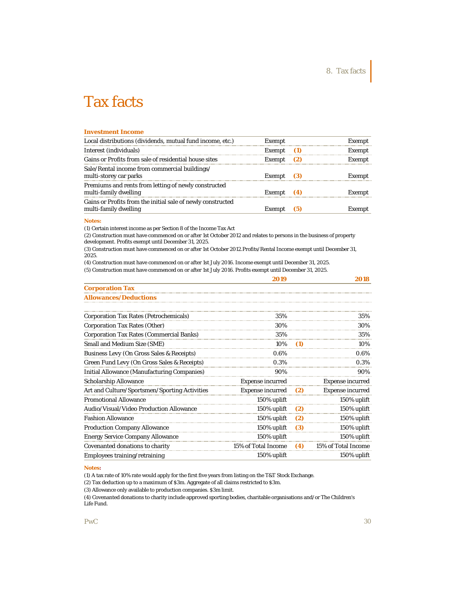#### **Investment Income**

| Local distributions (dividends, mutual fund income, etc.)                            | Exempt       |     | Exempt |
|--------------------------------------------------------------------------------------|--------------|-----|--------|
| Interest (individuals)                                                               | Exempt       | (1) | Exempt |
| Gains or Profits from sale of residential house sites                                | Exempt       | (2) | Exempt |
| Sale/Rental income from commercial buildings/<br>multi-storey car parks              | Exempt $(3)$ |     | Exempt |
| Premiums and rents from letting of newly constructed<br>multi-family dwelling        | Exempt $(4)$ |     | Exempt |
| Gains or Profits from the initial sale of newly constructed<br>multi-family dwelling | Exempt       | (5) | Exempt |

#### **Notes:**

(1) Certain interest income as per Section 8 of the Income Tax Act

(2) Construction must have commenced on or after 1st October 2012 and relates to persons in the business of property development. Profits exempt until December 31, 2025.

(3) Construction must have commenced on or after 1st October 2012.Profits/Rental Income exempt until December 31, 2025.

|                                                    | 2019                    |     | 2018                    |
|----------------------------------------------------|-------------------------|-----|-------------------------|
| <b>Corporation Tax</b>                             |                         |     |                         |
| <b>Allowances/Deductions</b>                       |                         |     |                         |
| <b>Corporation Tax Rates (Petrochemicals)</b>      | 35%                     |     | 35%                     |
| Corporation Tax Rates (Other)                      | 30%                     |     | 30%                     |
| <b>Corporation Tax Rates (Commercial Banks)</b>    | 35%                     |     | 35%                     |
| Small and Medium Size (SME)                        | 10%                     | (1) | 10%                     |
| Business Levy (On Gross Sales & Receipts)          | 0.6%                    |     | 0.6%                    |
| Green Fund Levy (On Gross Sales & Receipts)        | 0.3%                    |     | 0.3%                    |
| <b>Initial Allowance (Manufacturing Companies)</b> | 90%                     |     | 90%                     |
| <b>Scholarship Allowance</b>                       | <b>Expense incurred</b> |     | <b>Expense incurred</b> |
| Art and Culture/Sportsmen/Sporting Activities      | <b>Expense incurred</b> | (2) | <b>Expense incurred</b> |
| <b>Promotional Allowance</b>                       | 150% uplift             |     | 150% uplift             |
| Audio/Visual/Video Production Allowance            | 150% uplift             | (2) | 150% uplift             |
| <b>Fashion Allowance</b>                           | 150% uplift             | (2) | 150% uplift             |
| <b>Production Company Allowance</b>                | 150% uplift             | (3) | 150% uplift             |
| Energy Service Company Allowance                   | 150% uplift             |     | 150% uplift             |
| Covenanted donations to charity                    | 15% of Total Income     | (4) | 15% of Total Income     |
| Employees training/retraining                      | 150% uplift             |     | 150% uplift             |

(1) A tax rate of 10% rate would apply for the first five years from listing on the T&T Stock Exchange.

(2) Tax deduction up to a maximum of \$3m. Aggregate of all claims restricted to \$3m.

(3) Allowance only available to production companies. \$3m limit.

(4) Covenanted donations to charity include approved sporting bodies, charitable organisations and/or The Children's Life Fund.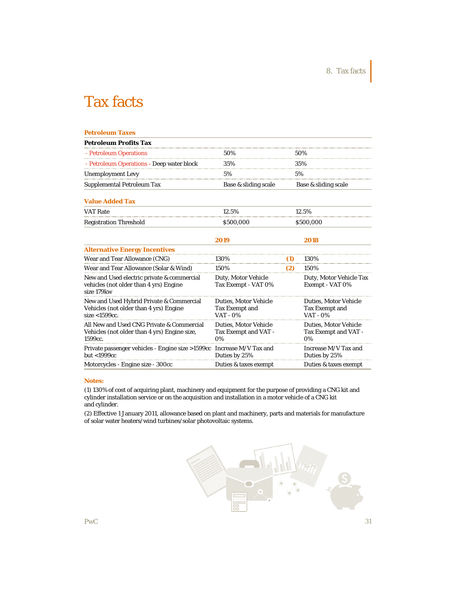| <b>Petroleum Taxes</b>                                                                                     |                                                                     |     |                                                                          |
|------------------------------------------------------------------------------------------------------------|---------------------------------------------------------------------|-----|--------------------------------------------------------------------------|
| <b>Petroleum Profits Tax</b>                                                                               |                                                                     |     |                                                                          |
| - Petroleum Operations                                                                                     | 50%                                                                 |     | 50%                                                                      |
| - Petroleum Operations - Deep water block                                                                  | 35%                                                                 |     | 35%                                                                      |
| <b>Unemployment Levy</b>                                                                                   | 5%                                                                  |     | 5%                                                                       |
| <b>Supplemental Petroleum Tax</b>                                                                          | Base & sliding scale                                                |     | Base & sliding scale                                                     |
| <b>Value Added Tax</b>                                                                                     |                                                                     |     |                                                                          |
| <b>VAT Rate</b>                                                                                            | 12.5%                                                               |     | 12.5%                                                                    |
| <b>Registration Threshold</b>                                                                              | \$500,000                                                           |     | \$500,000                                                                |
|                                                                                                            | 2019                                                                |     | 2018                                                                     |
| <b>Alternative Energy Incentives</b>                                                                       |                                                                     |     |                                                                          |
| Wear and Tear Allowance (CNG)                                                                              | 130%                                                                | (1) | 130%                                                                     |
| Wear and Tear Allowance (Solar & Wind)                                                                     | 150%                                                                | (2) | 150%                                                                     |
| New and Used electric private & commercial<br>vehicles (not older than 4 yrs) Engine<br>size 179kw         | Duty, Motor Vehicle<br>Tax Exempt - VAT 0%                          |     | Duty, Motor Vehicle Tax<br>Exempt - VAT 0%                               |
| New and Used Hybrid Private & Commercial<br>Vehicles (not older than 4 yrs) Engine<br>size $<$ 1599 $cc$ . | <b>Duties, Motor Vehicle</b><br><b>Tax Exempt and</b><br>$VAT - 0%$ |     | <b>Duties, Motor Vehicle</b><br><b>Tax Exempt and</b><br><b>VAT - 0%</b> |
| All New and Used CNG Private & Commercial<br>Vehicles (not older than 4 yrs) Engine size,<br>1599cc.       | <b>Duties, Motor Vehicle</b><br>Tax Exempt and VAT -<br>$0\%$       |     | <b>Duties, Motor Vehicle</b><br>Tax Exempt and VAT -<br>0%               |
| Private passenger vehicles - Engine size >1599cc Increase M/V Tax and<br>but <1999cc                       | Duties by 25%                                                       |     | Increase M/V Tax and<br>Duties by 25%                                    |
| Motorcycles - Engine size - 300cc                                                                          | Duties & taxes exempt                                               |     | Duties & taxes exempt                                                    |

#### **Notes:**

(1) 130% of cost of acquiring plant, machinery and equipment for the purpose of providing a CNG kit and cylinder installation service or on the acquisition and installation in a motor vehicle of a CNG kit and cylinder.

(2) Effective 1 January 2011, allowance based on plant and machinery, parts and materials for manufacture of solar water heaters/wind turbines/solar photovoltaic systems.

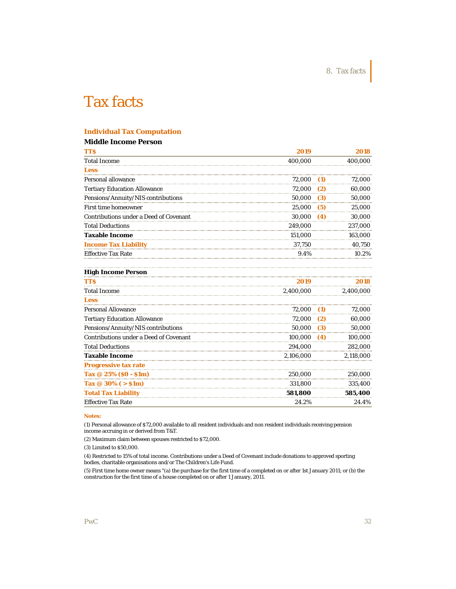# **Individual Tax Computation**

# **Middle Income Person**

| <b>TTS</b>                                    | 2019      |     | 2018      |
|-----------------------------------------------|-----------|-----|-----------|
| <b>Total Income</b>                           | 400,000   |     | 400,000   |
| <b>Less</b><br>.                              |           |     |           |
| Personal allowance                            | 72,000    | (1) | 72,000    |
| <b>Tertiary Education Allowance</b>           | 72,000    | (2) | 60,000    |
| Pensions/Annuity/NIS contributions            | 50,000    | (3) | 50,000    |
| <b>First time homeowner</b>                   | 25,000    | (5) | 25,000    |
| <b>Contributions under a Deed of Covenant</b> | 30,000    | (4) | 30,000    |
| <b>Total Deductions</b>                       | 249,000   |     | 237,000   |
| <b>Taxable Income</b>                         | 151,000   |     | 163,000   |
| <b>Income Tax Liability</b>                   | 37,750    |     | 40,750    |
| <b>Effective Tax Rate</b>                     | 9.4%      |     | 10.2%     |
| <b>High Income Person</b>                     |           |     |           |
| <b>TTS</b>                                    | 2019      |     | 2018      |
| <b>Total Income</b>                           | 2,400,000 |     | 2,400,000 |
| <b>Less</b>                                   |           |     |           |
| <b>Personal Allowance</b>                     | 72,000    | (1) | 72,000    |
| <b>Tertiary Education Allowance</b>           | 72,000    | (2) | 60,000    |
| Pensions/Annuity/NIS contributions            | 50,000    | (3) | 50,000    |
| <b>Contributions under a Deed of Covenant</b> | 100,000   | (4) | 100,000   |
| <b>Total Deductions</b>                       | 294,000   |     | 282,000   |
| <b>Taxable Income</b>                         | 2,106,000 |     | 2,118,000 |
| Progressive tax rate                          |           |     |           |
| Tax @ 25% (\$0 - \$1m)                        | 250,000   |     | 250.000   |

Effective Tax Rate 24.2% 24.4%

**Notes:**

(1) Personal allowance of \$72,000 available to all resident individuals and non resident individuals receiving pension income accruing in or derived from T&T.

**Tax @ 30% ( > \$1m)** 331,800 335,400 **Total Tax Liability 581,800 585,400** 

(2) Maximum claim between spouses restricted to \$72,000.

(3) Limited to \$50,000.

(4) Restricted to 15% of total income. Contributions under a Deed of Covenant include donations to approved sporting bodies, charitable organisations and/or The Children's Life Fund.

(5) First time home owner means "(a) the purchase for the first time of a completed on or after 1st January 2011; or (b) the construction for the first time of a house completed on or after 1 January, 2011.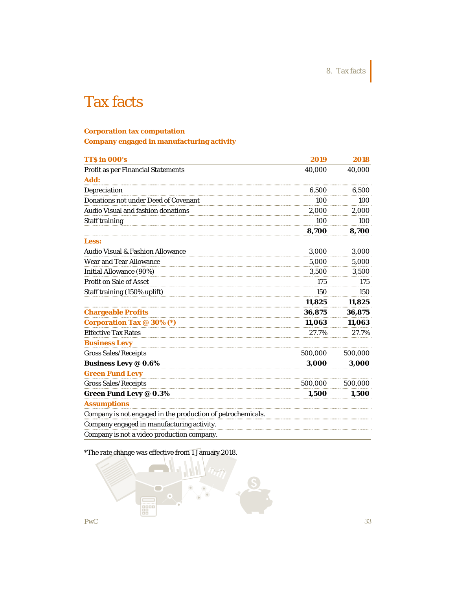8. Tax facts

# Tax facts

### **Corporation tax computation**

**Company engaged in manufacturing activity**

| TTS in 000's                                                | 2019    | 2018    |
|-------------------------------------------------------------|---------|---------|
| <b>Profit as per Financial Statements</b>                   | 40,000  | 40,000  |
| Add:                                                        |         |         |
| Depreciation                                                | 6.500   | 6.500   |
| <b>Donations not under Deed of Covenant</b>                 | 100     | 100     |
| Audio Visual and fashion donations                          | 2,000   | 2,000   |
| <b>Staff training</b>                                       | 100     | 100     |
|                                                             | 8,700   | 8,700   |
| <b>Less:</b>                                                |         |         |
| Audio Visual & Fashion Allowance                            | 3.000   | 3,000   |
| Wear and Tear Allowance                                     | 5,000   | 5,000   |
| Initial Allowance (90%)                                     | 3,500   | 3,500   |
| Profit on Sale of Asset                                     | 175     | 175     |
| Staff training (150% uplift)                                | 150     | 150     |
|                                                             | 11,825  | 11,825  |
| <b>Chargeable Profits</b>                                   | 36,875  | 36,875  |
| Corporation Tax @ 30% (*)                                   | 11,063  | 11,063  |
| <b>Effective Tax Rates</b>                                  | 27.7%   | 27.7%   |
| <b>Business Levy</b>                                        |         |         |
| <b>Gross Sales/Receipts</b>                                 | 500.000 | 500,000 |
| <b>Business Levy @ 0.6%</b>                                 | 3,000   | 3,000   |
| <b>Green Fund Levy</b>                                      |         |         |
| <b>Gross Sales/Receipts</b>                                 | 500,000 | 500,000 |
| <b>Green Fund Levy @ 0.3%</b>                               | 1,500   | 1,500   |
| <b>Assumptions</b>                                          |         |         |
| Company is not engaged in the production of petrochemicals. |         |         |
| Company engaged in manufacturing activity.                  |         |         |
| Company is not a video production company.                  |         |         |

\*The rate change was effective from 1 January 2018.

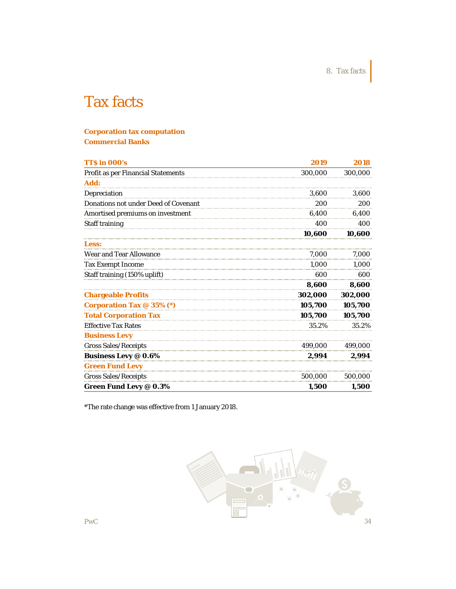8. Tax facts

# Tax facts

# **Corporation tax computation Commercial Banks**

| <b>TT\$ in 000's</b>                      | 2019    | 2018    |
|-------------------------------------------|---------|---------|
| <b>Profit as per Financial Statements</b> | 300,000 | 300,000 |
| Add:                                      |         |         |
| Depreciation                              | 3,600   | 3,600   |
| Donations not under Deed of Covenant      | 200     | 200     |
| Amortised premiums on investment          | 6,400   | 6,400   |
| <b>Staff training</b>                     | 400     | 400     |
|                                           | 10,600  | 10,600  |
| <b>Less:</b>                              |         |         |
| <b>Wear and Tear Allowance</b>            | 7,000   | 7,000   |
| <b>Tax Exempt Income</b>                  | 1,000   | 1,000   |
| Staff training (150% uplift)              | 600     | 600     |
|                                           | 8,600   | 8,600   |
| <b>Chargeable Profits</b>                 | 302,000 | 302,000 |
| <b>Corporation Tax @ 35% (*)</b>          | 105,700 | 105,700 |
| <b>Total Corporation Tax</b>              | 105,700 | 105,700 |
| <b>Effective Tax Rates</b>                | 35.2%   | 35.2%   |
| <b>Business Levy</b>                      |         |         |
| <b>Gross Sales/Receipts</b>               | 499,000 | 499,000 |
| <b>Business Levy @ 0.6%</b>               | 2,994   | 2,994   |
| <b>Green Fund Levy</b>                    |         |         |
| Gross Sales/Receipts                      | 500,000 | 500,000 |
| <b>Green Fund Levy @ 0.3%</b>             | 1,500   | 1,500   |

\*The rate change was effective from 1 January 2018.

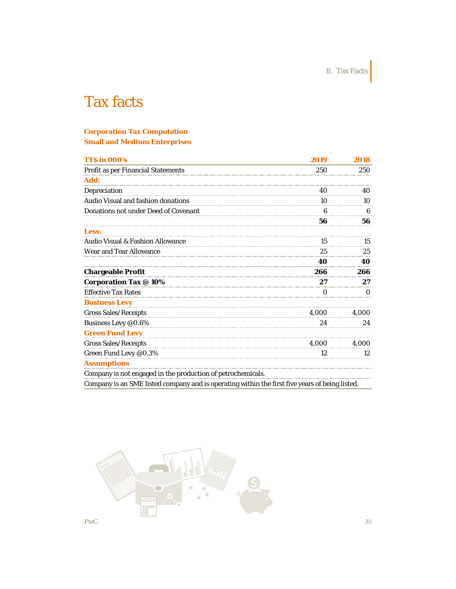8. Tax Facts

# Tax facts

# **Corporation Tax Computation Small and Medium Enterprises**

| <b>TT\$ in 000's</b>                                        | 2019  | 2018  |
|-------------------------------------------------------------|-------|-------|
| <b>Profit as per Financial Statements</b>                   | 250   | 250   |
| Add:                                                        |       |       |
| Depreciation                                                | 40    | 40    |
| Audio Visual and fashion donations                          | 10    | 10    |
| Donations not under Deed of Covenant                        | 6     | 6     |
|                                                             | 56    | 56    |
| <b>Less:</b>                                                |       |       |
| Audio Visual & Fashion Allowance                            | 15    | 15    |
| <b>Wear and Tear Allowance</b>                              | 25    | 25    |
|                                                             | 40    | 40    |
| <b>Chargeable Profit</b>                                    | 266   | 266   |
| <b>Corporation Tax @ 10%</b>                                | 27    | 27    |
| <b>Effective Tax Rates</b>                                  | 0     | 0     |
| <b>Business Levy</b>                                        |       |       |
| <b>Gross Sales/Receipts</b>                                 | 4.000 | 4.000 |
| Business Levy @0.6%                                         | 24    | 24    |
| <b>Green Fund Levy</b>                                      |       |       |
| <b>Gross Sales/Receipts</b>                                 | 4.000 | 4.000 |
| Green Fund Levy @0.3%                                       | 12    | 12    |
| <b>Assumptions</b>                                          |       |       |
| Company is not engaged in the production of petrochemicals. |       |       |
|                                                             |       |       |

Company is an SME listed company and is operating within the first five years of being listed.

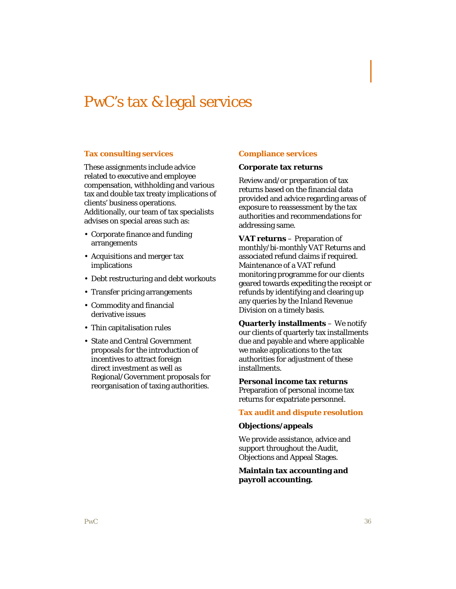# PwC's tax & legal services

### **Tax consulting services**

These assignments include advice related to executive and employee compensation, withholding and various tax and double tax treaty implications of clients' business operations. Additionally, our team of tax specialists advises on special areas such as:

- Corporate finance and funding arrangements
- Acquisitions and merger tax implications
- Debt restructuring and debt workouts
- Transfer pricing arrangements
- Commodity and financial derivative issues
- Thin capitalisation rules
- State and Central Government proposals for the introduction of incentives to attract foreign direct investment as well as Regional/Government proposals for reorganisation of taxing authorities.

#### **Compliance services**

#### **Corporate tax returns**

Review and/or preparation of tax returns based on the financial data provided and advice regarding areas of exposure to reassessment by the tax authorities and recommendations for addressing same.

**VAT returns** – Preparation of monthly/bi-monthly VAT Returns and associated refund claims if required. Maintenance of a VAT refund monitoring programme for our clients geared towards expediting the receipt or refunds by identifying and clearing up any queries by the Inland Revenue Division on a timely basis.

**Quarterly installments** – We notify our clients of quarterly tax installments due and payable and where applicable we make applications to the tax authorities for adjustment of these installments.

**Personal income tax returns**  Preparation of personal income tax returns for expatriate personnel.

#### **Tax audit and dispute resolution**

#### **Objections/appeals**

We provide assistance, advice and support throughout the Audit, Objections and Appeal Stages.

### **Maintain tax accounting and payroll accounting.**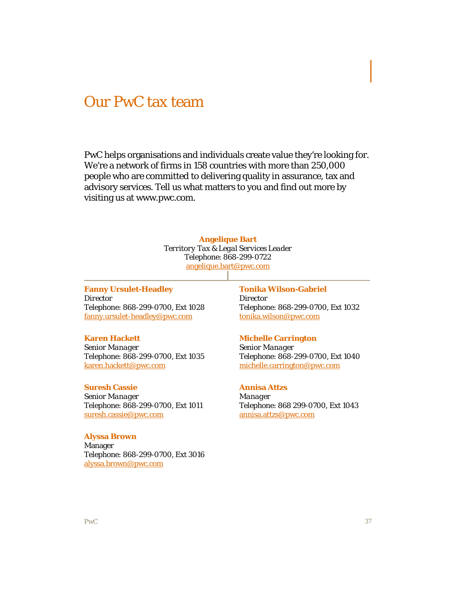# Our PwC tax team

PwC helps organisations and individuals create value they're looking for. We're a network of firms in 158 countries with more than 250,000 people who are committed to delivering quality in assurance, tax and advisory services. Tell us what matters to you and find out more by visiting us at www.pwc.com.

#### **Angelique Bart**

*Territory Tax & Legal Services Leader* Telephone: 868-299-0722 angelique.bart@pwc.com

**Fanny Ursulet-Headley** *Director* Telephone: 868-299-0700, Ext 1028 fanny.ursulet-headley@pwc.com

### **Karen Hackett**

*Senior Manager* Telephone: 868-299-0700, Ext 1035 karen.hackett@pwc.com

### **Suresh Cassie**

*Senior Manager* Telephone: 868-299-0700, Ext 1011 suresh.cassie@pwc.com

### **Alyssa Brown**

Manager Telephone: 868-299-0700, Ext 3016 alyssa.brown@pwc.com

# **Tonika Wilson-Gabriel** *Director* Telephone: 868-299-0700, Ext 1032 tonika.wilson@pwc.com

#### **Michelle Carrington**

*Senior Manager* Telephone: 868-299-0700, Ext 1040 michelle.carrington@pwc.com

#### **Annisa Attzs**

*Manager* Telephone: 868 299-0700, Ext 1043 annisa.attzs@pwc.com